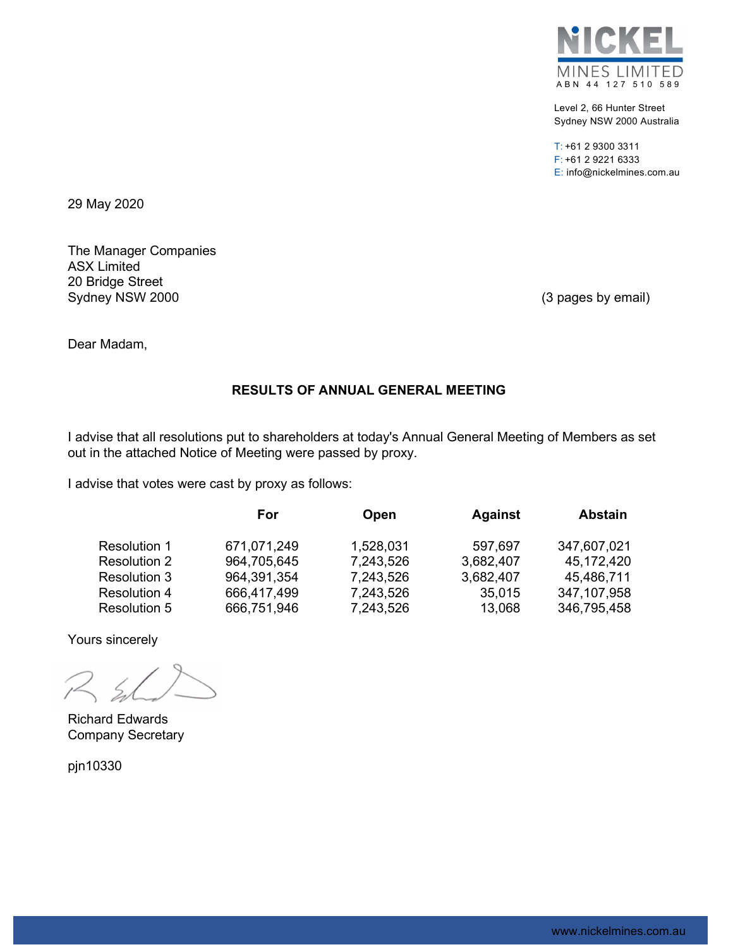

Level 2, 66 Hunter Street Sydney NSW 2000 Australia

T: +61 2 9300 3311 F: +61 2 9221 6333 E: info@nickelmines.com.au

29 May 2020

The Manager Companies ASX Limited 20 Bridge Street Sydney NSW 2000 (3 pages by email)

Dear Madam,

# RESULTS OF ANNUAL GENERAL MEETING

I advise that all resolutions put to shareholders at today's Annual General Meeting of Members as set out in the attached Notice of Meeting were passed by proxy.

I advise that votes were cast by proxy as follows:

|                     | For         | Open      | <b>Against</b> | <b>Abstain</b> |
|---------------------|-------------|-----------|----------------|----------------|
| Resolution 1        | 671,071,249 | 1,528,031 | 597,697        | 347,607,021    |
| <b>Resolution 2</b> | 964,705,645 | 7,243,526 | 3,682,407      | 45,172,420     |
| Resolution 3        | 964,391,354 | 7,243,526 | 3,682,407      | 45,486,711     |
| <b>Resolution 4</b> | 666,417,499 | 7,243,526 | 35,015         | 347,107,958    |
| <b>Resolution 5</b> | 666,751,946 | 7,243,526 | 13,068         | 346,795,458    |

Yours sincerely

Richard Edwards Company Secretary

pjn10330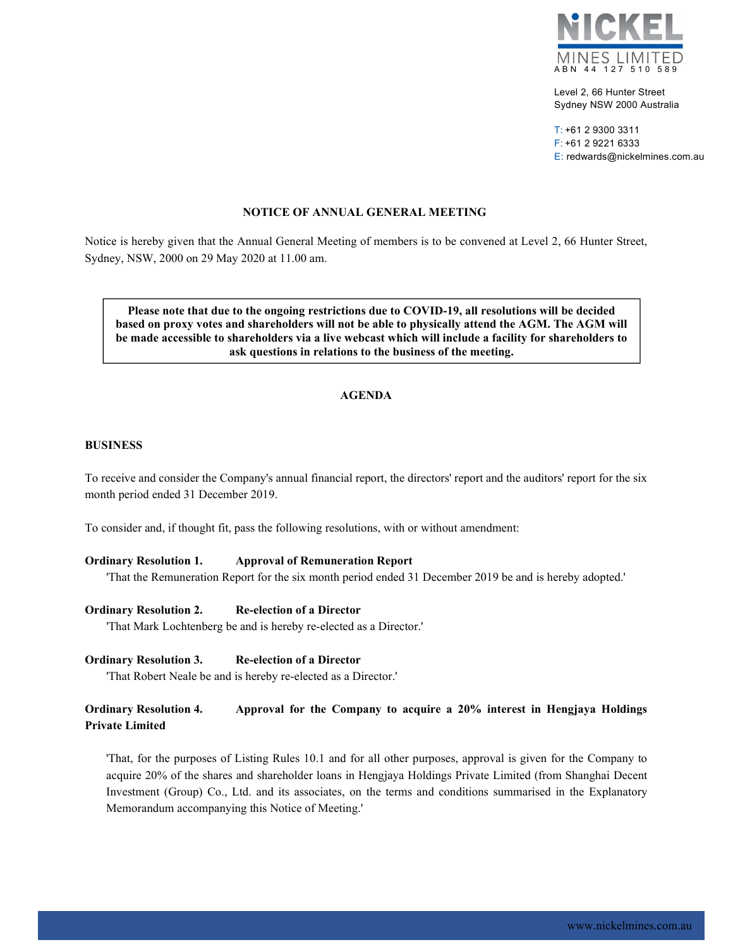

Level 2, 66 Hunter Street Sydney NSW 2000 Australia

T: +61 2 9300 3311 F: +61 2 9221 6333 E: redwards@nickelmines.com.au

### NOTICE OF ANNUAL GENERAL MEETING

Notice is hereby given that the Annual General Meeting of members is to be convened at Level 2, 66 Hunter Street, Sydney, NSW, 2000 on 29 May 2020 at 11.00 am.

Please note that due to the ongoing restrictions due to COVID-19, all resolutions will be decided based on proxy votes and shareholders will not be able to physically attend the AGM. The AGM will be made accessible to shareholders via a live webcast which will include a facility for shareholders to ask questions in relations to the business of the meeting.

## AGENDA

#### BUSINESS

To receive and consider the Company's annual financial report, the directors' report and the auditors' report for the six month period ended 31 December 2019.

To consider and, if thought fit, pass the following resolutions, with or without amendment:

#### Ordinary Resolution 1. Approval of Remuneration Report

'That the Remuneration Report for the six month period ended 31 December 2019 be and is hereby adopted.'

Ordinary Resolution 2. Re-election of a Director

'That Mark Lochtenberg be and is hereby re-elected as a Director.'

Ordinary Resolution 3. Re-election of a Director

'That Robert Neale be and is hereby re-elected as a Director.'

## Ordinary Resolution 4. Approval for the Company to acquire a 20% interest in Hengjaya Holdings Private Limited

'That, for the purposes of Listing Rules 10.1 and for all other purposes, approval is given for the Company to acquire 20% of the shares and shareholder loans in Hengjaya Holdings Private Limited (from Shanghai Decent Investment (Group) Co., Ltd. and its associates, on the terms and conditions summarised in the Explanatory Memorandum accompanying this Notice of Meeting.'